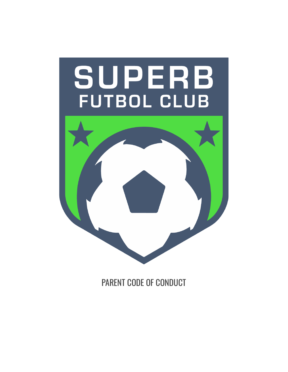

PARENT CODE OF CONDUCT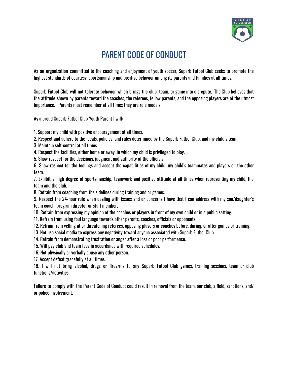

## PARENT CODE OF CONDUCT

As an organization committed to the coaching and enjoyment of youth soccer, Superb Futbol Club seeks to promote the highest standards of courtesy, sportsmanship and positive behavior among its parents and families at all times.

Superb Futbol Club will not tolerate behavior which brings the club, team, or game into disrepute. The Club believes that the attitude shown by parents toward the coaches, the referees, fellow parents, and the opposing players are of the utmost importance. Parents must remember at all times they are role models.

As a proud Superb Futbol Club Youth Parent I will:

1. Support my child with positive encouragement at all times.

2. Respect and adhere to the ideals, policies, and rules determined by the Superb Futbol Club, and my child's team.

3. Maintain self-control at all times.

4. Respect the facilities, either home or away, in which my child is privileged to play.

5. Show respect for the decisions, judgment and authority of the officials.

6. Show respect for the feelings and accept the capabilities of my child, my child's teammates and players on the other team.

7. Exhibit a high degree of sportsmanship, teamwork and positive attitude at all times when representing my child, the team and the club.

8. Refrain from coaching from the sidelines during training and or games.

9. Respect the 24-hour rule when dealing with issues and or concerns I have that I can address with my son/daughter's team coach, program director or staff member.

10. Refrain from expressing my opinion of the coaches or players in front of my own child or in a public setting.

11. Refrain from using foul language towards other parents, coaches, officials or opponents.

12. Refrain from yelling at or threatening referees, opposing players or coaches before, during, or after games or training.

13. Not use social media to express any negativity toward anyone associated with Superb Futbol Club.

14. Refrain from demonstrating frustration or anger after a loss or poor performance.

15. Will pay club and team fees in accordance with required schedules.

16. Not physically or verbally abuse any other person.

17. Accept defeat gracefully at all times.

18. I will not bring alcohol, drugs or firearms to any Superb Futbol Club games, training sessions, team or club functions/activities.

Failure to comply with the Parent Code of Conduct could result in removal from the team, our club, a field, sanctions, and/ or police involvement.